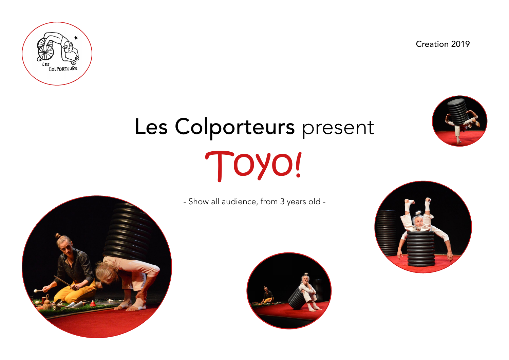Creation 2019



# Les Colporteurs present Toyo!





- Show all audience, from 3 years old -



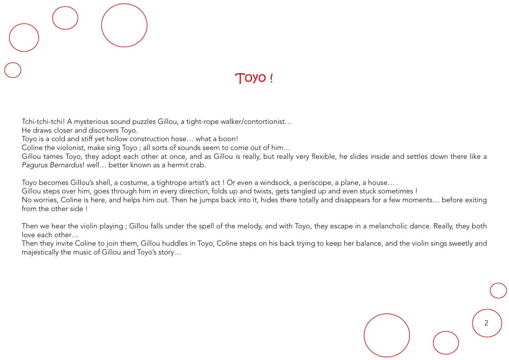## Toyo !

Tchi-tchi-tchi! A mysterious sound puzzles Gillou, a tight-rope walker/contortionist…

He draws closer and discovers Toyo.

Toyo is a cold and stiff yet hollow construction hose… what a boon!

Coline the violonist, make sing Toyo ; all sorts of sounds seem to come out of him…

Gillou tames Toyo, they adopt each other at once, and as Gillou is really, but really very flexible, he slides inside and settles down there like a *Pagurus Bernardus*! well… better known as a hermit crab.

Toyo becomes Gillou's shell, a costume, a tightrope artist's act ! Or even a windsock, a periscope, a plane, a house…

Gillou steps over him, goes through him in every direction, folds up and twists, gets tangled up and even stuck sometimes !

No worries, Coline is here, and helps him out. Then he jumps back into it, hides there totally and disappears for a few moments… before exiting from the other side !

Then we hear the violin playing ; Gillou falls under the spell of the melody, and with Toyo, they escape in a melancholic dance. Really, they both love each other…

Then they invite Coline to join them, Gillou huddles in Toyo, Coline steps on his back trying to keep her balance, and the violin sings sweetly and majestically the music of Gillou and Toyo's story…

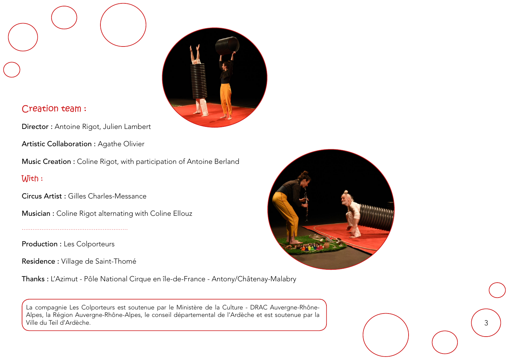

#### Creation team :

Director : Antoine Rigot, Julien Lambert

Artistic Collaboration : Agathe Olivier

Music Creation : Coline Rigot, with participation of Antoine Berland

#### With :

Circus Artist : Gilles Charles-Messance

Musician : Coline Rigot alternating with Coline Ellouz

Production : Les Colporteurs

Residence : Village de Saint-Thomé

Thanks : L'Azimut - Pôle National Cirque en île-de-France - Antony/Châtenay-Malabry

2 3 La compagnie Les Colporteurs est soutenue par le Ministère de la Culture - DRAC Auvergne-Rhône-Alpes, la Région Auvergne-Rhône-Alpes, le conseil départemental de l'Ardèche et est soutenue par la Ville du Teil d'Ardèche.



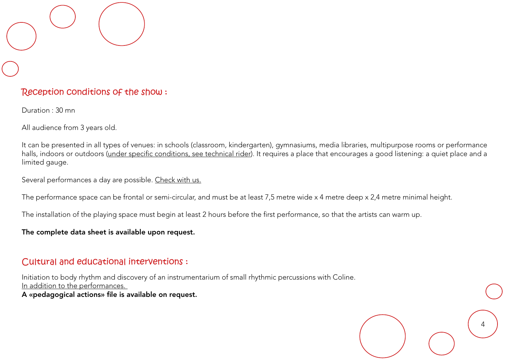#### Reception conditions of the show :

Duration : 30 mn

All audience from 3 years old.

It can be presented in all types of venues: in schools (classroom, kindergarten), gymnasiums, media libraries, multipurpose rooms or performance halls, indoors or outdoors (under specific conditions, see technical rider). It requires a place that encourages a good listening: a quiet place and a limited gauge.

Several performances a day are possible. Check with us.

The performance space can be frontal or semi-circular, and must be at least 7,5 metre wide x 4 metre deep x 2,4 metre minimal height.

The installation of the playing space must begin at least 2 hours before the first performance, so that the artists can warm up.

The complete data sheet is available upon request.

#### Cultural and educational interventions :

Initiation to body rhythm and discovery of an instrumentarium of small rhythmic percussions with Coline. In addition to the performances.

A «pedagogical actions» file is available on request.

4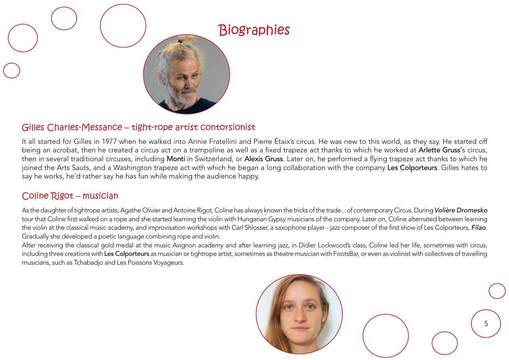

#### Gilles Charles-Messance – tight-rope artist contorsionist

It all started for Gilles in 1977 when he walked into Annie Fratellini and Pierre Étaix's circus. He was new to this world, as they say. He started off being an acrobat, then he created a circus act on a trampoline as well as a fixed trapeze act thanks to which he worked at Arlette Gruss's circus, then in several traditional circuses, including Monti in Switzerland, or Alexis Gruss. Later on, he performed a flying trapeze act thanks to which he joined the Arts Sauts, and a Washington trapeze act with which he began a long collaboration with the company Les Colporteurs. Gilles hates to say he works, he'd rather say he has fun while making the audience happy.

#### Coline Rigot – musician

As the daughter of tightrope artists, Agathe Olivier and Antoine Rigot, Coline has always known the tricks of the trade... of contemporary Circus. During *Volière Dromesko* tour that Coline first walked on a rope and she started learning the violin with Hungarian Gypsy musicians of the company. Later on, Coline alternated between learning the violin at the classical music academy, and improvisation workshops with Carl Shlosser, a saxophone player - jazz composer of the first show of Les Colporteurs, *Filao*. Gradually she developed a poetic language combining rope and violin.

After receiving the classical gold medal at the music Avignon academy and after learning jazz, in Didier Lockwood's class, Coline led her life, sometimes with circus, including three creations with Les Colporteurs as musician or tightrope artist, sometimes as theatre musician with FootsBar, or even as violinist with collectives of travelling musicians, such as Tchabadjo and Les Poissons Voyageurs.

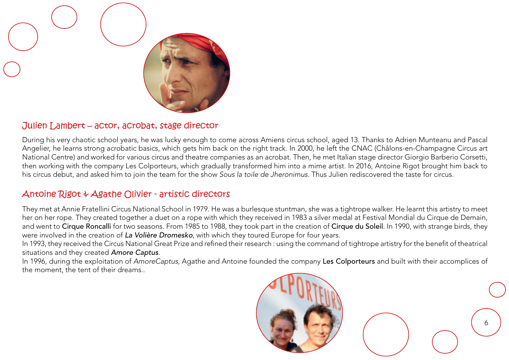

#### Julien Lambert – actor, acrobat, stage director

During his very chaotic school years, he was lucky enough to come across Amiens circus school, aged 13. Thanks to Adrien Munteanu and Pascal Angelier, he learns strong acrobatic basics, which gets him back on the right track. In 2000, he left the CNAC (Châlons-en-Champagne Circus art National Centre) and worked for various circus and theatre companies as an acrobat. Then, he met Italian stage director Giorgio Barberio Corsetti, then working with the company Les Colporteurs, which gradually transformed him into a mime artist. In 2016, Antoine Rigot brought him back to his circus debut, and asked him to join the team for the show *Sous la toile de Jheronimus*. Thus Julien rediscovered the taste for circus.

#### Antoine Rigot & Agathe Olivier - artistic directors

They met at Annie Fratellini Circus National School in 1979. He was a burlesque stuntman, she was a tightrope walker. He learnt this artistry to meet her on her rope. They created together a duet on a rope with which they received in 1983 a silver medal at Festival Mondial du Cirque de Demain, and went to Cirque Roncalli for two seasons. From 1985 to 1988, they took part in the creation of Cirque du Soleil. In 1990, with strange birds, they were involved in the creation of *La Volière Dromesko*, with which they toured Europe for four years.

In 1993, they received the Circus National Great Prize and refined their research : using the command of tightrope artistry for the benefit of theatrical situations and they created *Amore Captus*.

In 1996, during the exploitation of *AmoreCaptus*, Agathe and Antoine founded the company Les Colporteurs and built with their accomplices of the moment, the tent of their dreams..

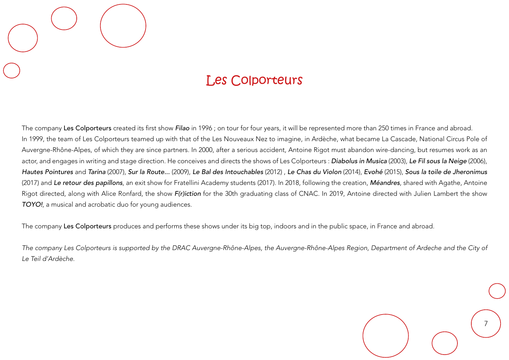## Les Colporteurs

The company Les Colporteurs created its first show *Filao* in 1996 ; on tour for four years, it will be represented more than 250 times in France and abroad. In 1999, the team of Les Colporteurs teamed up with that of the Les Nouveaux Nez to imagine, in Ardèche, what became La Cascade, National Circus Pole of Auvergne-Rhône-Alpes, of which they are since partners. In 2000, after a serious accident, Antoine Rigot must abandon wire-dancing, but resumes work as an actor, and engages in writing and stage direction. He conceives and directs the shows of Les Colporteurs : *Diabolus in Musica* (2003), *Le Fil sous la Neige* (2006), *Hautes Pointures* and *Tarina* (2007), *Sur la Route...* (2009), *Le Bal des Intouchables* (2012) , *Le Chas du Violon* (2014), *Evohé* (2015), *Sous la toile de Jheronimus* (2017) and *Le retour des papillons*, an exit show for Fratellini Academy students (2017). In 2018, following the creation, *Méandres*, shared with Agathe, Antoine Rigot directed, along with Alice Ronfard, the show *F(r)iction* for the 30th graduating class of CNAC. In 2019, Antoine directed with Julien Lambert the show *TOYO!*, a musical and acrobatic duo for young audiences.

The company Les Colporteurs produces and performs these shows under its big top, indoors and in the public space, in France and abroad.

*The company Les Colporteurs is supported by the DRAC Auvergne-Rhône-Alpes, the Auvergne-Rhône-Alpes Region, Department of Ardeche and the City of Le Teil d'Ardèche.*